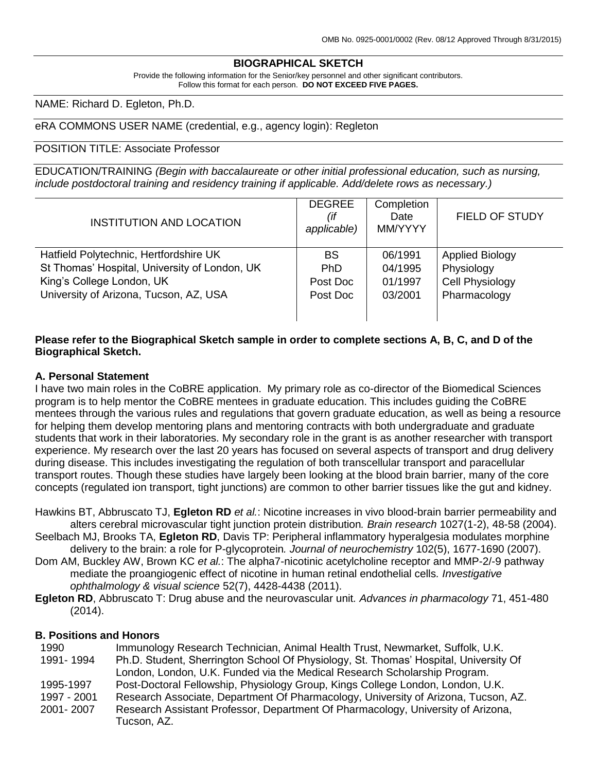#### **BIOGRAPHICAL SKETCH**

Provide the following information for the Senior/key personnel and other significant contributors. Follow this format for each person. **DO NOT EXCEED FIVE PAGES.**

NAME: Richard D. Egleton, Ph.D.

#### eRA COMMONS USER NAME (credential, e.g., agency login): Regleton

#### POSITION TITLE: Associate Professor

EDUCATION/TRAINING *(Begin with baccalaureate or other initial professional education, such as nursing, include postdoctoral training and residency training if applicable. Add/delete rows as necessary.)*

| <b>INSTITUTION AND LOCATION</b>               | <b>DEGREE</b><br>(if<br>applicable) | Completion<br>Date<br>MM/YYYY | <b>FIELD OF STUDY</b>  |
|-----------------------------------------------|-------------------------------------|-------------------------------|------------------------|
| Hatfield Polytechnic, Hertfordshire UK        | BS.                                 | 06/1991                       | <b>Applied Biology</b> |
| St Thomas' Hospital, University of London, UK | <b>PhD</b>                          | 04/1995                       | Physiology             |
| King's College London, UK                     | Post Doc                            | 01/1997                       | Cell Physiology        |
| University of Arizona, Tucson, AZ, USA        | Post Doc                            | 03/2001                       | Pharmacology           |

#### **Please refer to the Biographical Sketch sample in order to complete sections A, B, C, and D of the Biographical Sketch.**

#### **A. Personal Statement**

I have two main roles in the CoBRE application. My primary role as co-director of the Biomedical Sciences program is to help mentor the CoBRE mentees in graduate education. This includes guiding the CoBRE mentees through the various rules and regulations that govern graduate education, as well as being a resource for helping them develop mentoring plans and mentoring contracts with both undergraduate and graduate students that work in their laboratories. My secondary role in the grant is as another researcher with transport experience. My research over the last 20 years has focused on several aspects of transport and drug delivery during disease. This includes investigating the regulation of both transcellular transport and paracellular transport routes. Though these studies have largely been looking at the blood brain barrier, many of the core concepts (regulated ion transport, tight junctions) are common to other barrier tissues like the gut and kidney.

Hawkins BT, Abbruscato TJ, **Egleton RD** *et al.*: Nicotine increases in vivo blood-brain barrier permeability and alters cerebral microvascular tight junction protein distribution*. Brain research* 1027(1-2), 48-58 (2004).

Seelbach MJ, Brooks TA, **Egleton RD**, Davis TP: Peripheral inflammatory hyperalgesia modulates morphine delivery to the brain: a role for P-glycoprotein*. Journal of neurochemistry* 102(5), 1677-1690 (2007).

- Dom AM, Buckley AW, Brown KC *et al.*: The alpha7-nicotinic acetylcholine receptor and MMP-2/-9 pathway mediate the proangiogenic effect of nicotine in human retinal endothelial cells*. Investigative ophthalmology & visual science* 52(7), 4428-4438 (2011).
- **Egleton RD**, Abbruscato T: Drug abuse and the neurovascular unit*. Advances in pharmacology* 71, 451-480 (2014).

#### **B. Positions and Honors**

1990 Immunology Research Technician, Animal Health Trust, Newmarket, Suffolk, U.K. 1991- 1994 Ph.D. Student, Sherrington School Of Physiology, St. Thomas' Hospital, University Of London, London, U.K. Funded via the Medical Research Scholarship Program. 1995-1997 Post-Doctoral Fellowship, Physiology Group, Kings College London, London, U.K. 1997 - 2001 Research Associate, Department Of Pharmacology, University of Arizona, Tucson, AZ. 2001- 2007 Research Assistant Professor, Department Of Pharmacology, University of Arizona, Tucson, AZ.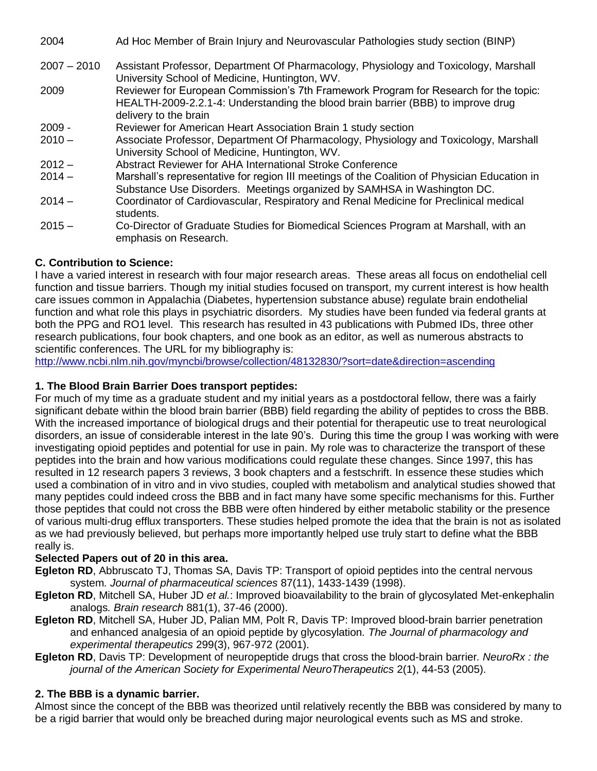- 2004 Ad Hoc Member of Brain Injury and Neurovascular Pathologies study section (BINP)
- 2007 2010 Assistant Professor, Department Of Pharmacology, Physiology and Toxicology, Marshall University School of Medicine, Huntington, WV.
- 2009 Reviewer for European Commission's 7th Framework Program for Research for the topic: HEALTH-2009-2.2.1-4: Understanding the blood brain barrier (BBB) to improve drug delivery to the brain
- 2009 Reviewer for American Heart Association Brain 1 study section
- $2010 -$ Associate Professor, Department Of Pharmacology, Physiology and Toxicology, Marshall University School of Medicine, Huntington, WV.
- $2012 -$ Abstract Reviewer for AHA International Stroke Conference
- $2014 -$ Marshall's representative for region III meetings of the Coalition of Physician Education in Substance Use Disorders. Meetings organized by SAMHSA in Washington DC.
- $2014 -$ Coordinator of Cardiovascular, Respiratory and Renal Medicine for Preclinical medical students.
- $2015 -$ Co-Director of Graduate Studies for Biomedical Sciences Program at Marshall, with an emphasis on Research.

# **C. Contribution to Science:**

I have a varied interest in research with four major research areas. These areas all focus on endothelial cell function and tissue barriers. Though my initial studies focused on transport, my current interest is how health care issues common in Appalachia (Diabetes, hypertension substance abuse) regulate brain endothelial function and what role this plays in psychiatric disorders. My studies have been funded via federal grants at both the PPG and RO1 level. This research has resulted in 43 publications with Pubmed IDs, three other research publications, four book chapters, and one book as an editor, as well as numerous abstracts to scientific conferences. The URL for my bibliography is:

<http://www.ncbi.nlm.nih.gov/myncbi/browse/collection/48132830/?sort=date&direction=ascending>

#### **1. The Blood Brain Barrier Does transport peptides:**

For much of my time as a graduate student and my initial years as a postdoctoral fellow, there was a fairly significant debate within the blood brain barrier (BBB) field regarding the ability of peptides to cross the BBB. With the increased importance of biological drugs and their potential for therapeutic use to treat neurological disorders, an issue of considerable interest in the late 90's. During this time the group I was working with were investigating opioid peptides and potential for use in pain. My role was to characterize the transport of these peptides into the brain and how various modifications could regulate these changes. Since 1997, this has resulted in 12 research papers 3 reviews, 3 book chapters and a festschrift. In essence these studies which used a combination of in vitro and in vivo studies, coupled with metabolism and analytical studies showed that many peptides could indeed cross the BBB and in fact many have some specific mechanisms for this. Further those peptides that could not cross the BBB were often hindered by either metabolic stability or the presence of various multi-drug efflux transporters. These studies helped promote the idea that the brain is not as isolated as we had previously believed, but perhaps more importantly helped use truly start to define what the BBB really is.

# **Selected Papers out of 20 in this area.**

- **Egleton RD**, Abbruscato TJ, Thomas SA, Davis TP: Transport of opioid peptides into the central nervous system*. Journal of pharmaceutical sciences* 87(11), 1433-1439 (1998).
- **Egleton RD**, Mitchell SA, Huber JD *et al.*: Improved bioavailability to the brain of glycosylated Met-enkephalin analogs*. Brain research* 881(1), 37-46 (2000).
- **Egleton RD**, Mitchell SA, Huber JD, Palian MM, Polt R, Davis TP: Improved blood-brain barrier penetration and enhanced analgesia of an opioid peptide by glycosylation*. The Journal of pharmacology and experimental therapeutics* 299(3), 967-972 (2001).
- **Egleton RD**, Davis TP: Development of neuropeptide drugs that cross the blood-brain barrier*. NeuroRx : the journal of the American Society for Experimental NeuroTherapeutics* 2(1), 44-53 (2005).

# **2. The BBB is a dynamic barrier.**

Almost since the concept of the BBB was theorized until relatively recently the BBB was considered by many to be a rigid barrier that would only be breached during major neurological events such as MS and stroke.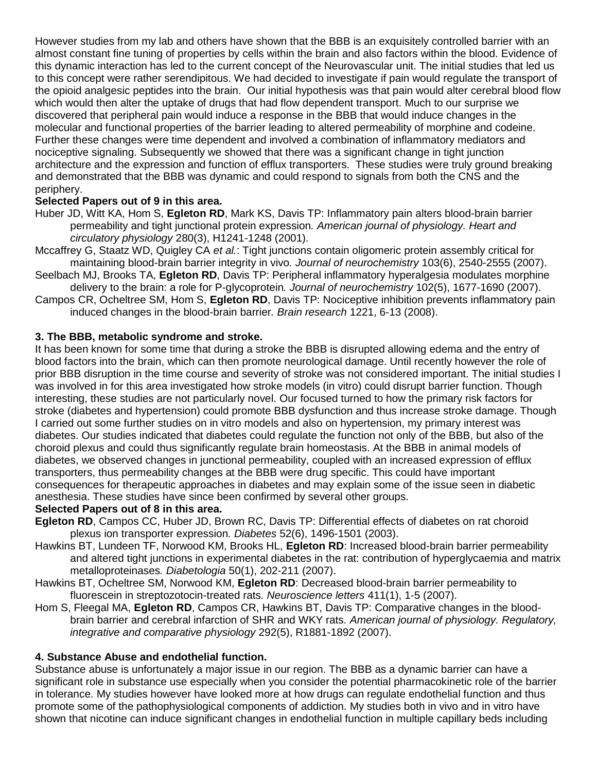However studies from my lab and others have shown that the BBB is an exquisitely controlled barrier with an almost constant fine tuning of properties by cells within the brain and also factors within the blood. Evidence of this dynamic interaction has led to the current concept of the Neurovascular unit. The initial studies that led us to this concept were rather serendipitous. We had decided to investigate if pain would regulate the transport of the opioid analgesic peptides into the brain. Our initial hypothesis was that pain would alter cerebral blood flow which would then alter the uptake of drugs that had flow dependent transport. Much to our surprise we discovered that peripheral pain would induce a response in the BBB that would induce changes in the molecular and functional properties of the barrier leading to altered permeability of morphine and codeine. Further these changes were time dependent and involved a combination of inflammatory mediators and nociceptive signaling. Subsequently we showed that there was a significant change in tight junction architecture and the expression and function of efflux transporters. These studies were truly ground breaking and demonstrated that the BBB was dynamic and could respond to signals from both the CNS and the periphery.

# **Selected Papers out of 9 in this area.**

- Huber JD, Witt KA, Hom S, **Egleton RD**, Mark KS, Davis TP: Inflammatory pain alters blood-brain barrier permeability and tight junctional protein expression*. American journal of physiology. Heart and circulatory physiology* 280(3), H1241-1248 (2001).
- Mccaffrey G, Staatz WD, Quigley CA *et al.*: Tight junctions contain oligomeric protein assembly critical for maintaining blood-brain barrier integrity in vivo*. Journal of neurochemistry* 103(6), 2540-2555 (2007).
- Seelbach MJ, Brooks TA, **Egleton RD**, Davis TP: Peripheral inflammatory hyperalgesia modulates morphine delivery to the brain: a role for P-glycoprotein*. Journal of neurochemistry* 102(5), 1677-1690 (2007).
- Campos CR, Ocheltree SM, Hom S, **Egleton RD**, Davis TP: Nociceptive inhibition prevents inflammatory pain induced changes in the blood-brain barrier*. Brain research* 1221, 6-13 (2008).

#### **3. The BBB, metabolic syndrome and stroke.**

It has been known for some time that during a stroke the BBB is disrupted allowing edema and the entry of blood factors into the brain, which can then promote neurological damage. Until recently however the role of prior BBB disruption in the time course and severity of stroke was not considered important. The initial studies I was involved in for this area investigated how stroke models (in vitro) could disrupt barrier function. Though interesting, these studies are not particularly novel. Our focused turned to how the primary risk factors for stroke (diabetes and hypertension) could promote BBB dysfunction and thus increase stroke damage. Though I carried out some further studies on in vitro models and also on hypertension, my primary interest was diabetes. Our studies indicated that diabetes could regulate the function not only of the BBB, but also of the choroid plexus and could thus significantly regulate brain homeostasis. At the BBB in animal models of diabetes, we observed changes in junctional permeability, coupled with an increased expression of efflux transporters, thus permeability changes at the BBB were drug specific. This could have important consequences for therapeutic approaches in diabetes and may explain some of the issue seen in diabetic anesthesia. These studies have since been confirmed by several other groups.

#### **Selected Papers out of 8 in this area.**

- **Egleton RD**, Campos CC, Huber JD, Brown RC, Davis TP: Differential effects of diabetes on rat choroid plexus ion transporter expression*. Diabetes* 52(6), 1496-1501 (2003).
- Hawkins BT, Lundeen TF, Norwood KM, Brooks HL, **Egleton RD**: Increased blood-brain barrier permeability and altered tight junctions in experimental diabetes in the rat: contribution of hyperglycaemia and matrix metalloproteinases*. Diabetologia* 50(1), 202-211 (2007).
- Hawkins BT, Ocheltree SM, Norwood KM, **Egleton RD**: Decreased blood-brain barrier permeability to fluorescein in streptozotocin-treated rats*. Neuroscience letters* 411(1), 1-5 (2007).
- Hom S, Fleegal MA, **Egleton RD**, Campos CR, Hawkins BT, Davis TP: Comparative changes in the bloodbrain barrier and cerebral infarction of SHR and WKY rats*. American journal of physiology. Regulatory, integrative and comparative physiology* 292(5), R1881-1892 (2007).

# **4. Substance Abuse and endothelial function.**

Substance abuse is unfortunately a major issue in our region. The BBB as a dynamic barrier can have a significant role in substance use especially when you consider the potential pharmacokinetic role of the barrier in tolerance. My studies however have looked more at how drugs can regulate endothelial function and thus promote some of the pathophysiological components of addiction. My studies both in vivo and in vitro have shown that nicotine can induce significant changes in endothelial function in multiple capillary beds including